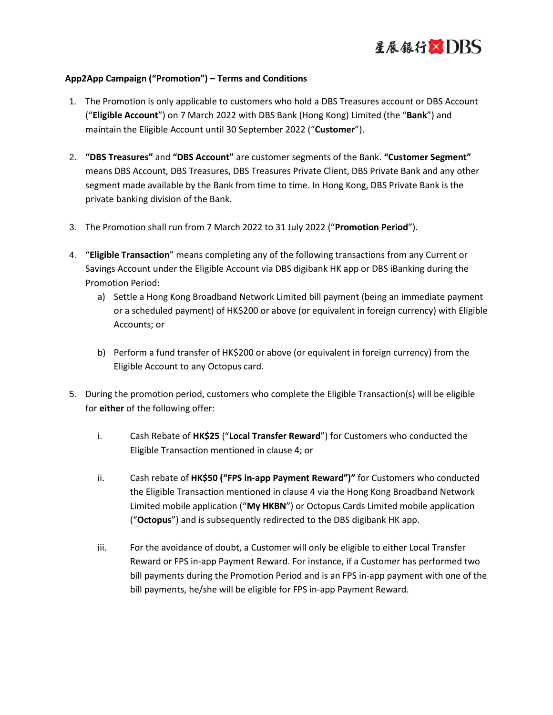

## **App2App Campaign ("Promotion") – Terms and Conditions**

- 1. The Promotion is only applicable to customers who hold a DBS Treasures account or DBS Account ("**Eligible Account**") on 7 March 2022 with DBS Bank (Hong Kong) Limited (the "**Bank**") and maintain the Eligible Account until 30 September 2022 ("**Customer**").
- 2. **"DBS Treasures"** and **"DBS Account"** are customer segments of the Bank. **"Customer Segment"**  means DBS Account, DBS Treasures, DBS Treasures Private Client, DBS Private Bank and any other segment made available by the Bank from time to time. In Hong Kong, DBS Private Bank is the private banking division of the Bank.
- 3. The Promotion shall run from 7 March 2022 to 31 July 2022 ("**Promotion Period**").
- 4. "**Eligible Transaction**" means completing any of the following transactions from any Current or Savings Account under the Eligible Account via DBS digibank HK app or DBS iBanking during the Promotion Period:
	- a) Settle a Hong Kong Broadband Network Limited bill payment (being an immediate payment or a scheduled payment) of HK\$200 or above (or equivalent in foreign currency) with Eligible Accounts; or
	- b) Perform a fund transfer of HK\$200 or above (or equivalent in foreign currency) from the Eligible Account to any Octopus card.
- 5. During the promotion period, customers who complete the Eligible Transaction(s) will be eligible for **either** of the following offer:
	- i. Cash Rebate of **HK\$25** ("**Local Transfer Reward**") for Customers who conducted the Eligible Transaction mentioned in clause 4; or
	- ii. Cash rebate of **HK\$50 ("FPS in-app Payment Reward")"** for Customers who conducted the Eligible Transaction mentioned in clause 4 via the Hong Kong Broadband Network Limited mobile application ("**My HKBN**") or Octopus Cards Limited mobile application ("**Octopus**") and is subsequently redirected to the DBS digibank HK app.
	- iii. For the avoidance of doubt, a Customer will only be eligible to either Local Transfer Reward or FPS in-app Payment Reward. For instance, if a Customer has performed two bill payments during the Promotion Period and is an FPS in-app payment with one of the bill payments, he/she will be eligible for FPS in-app Payment Reward.